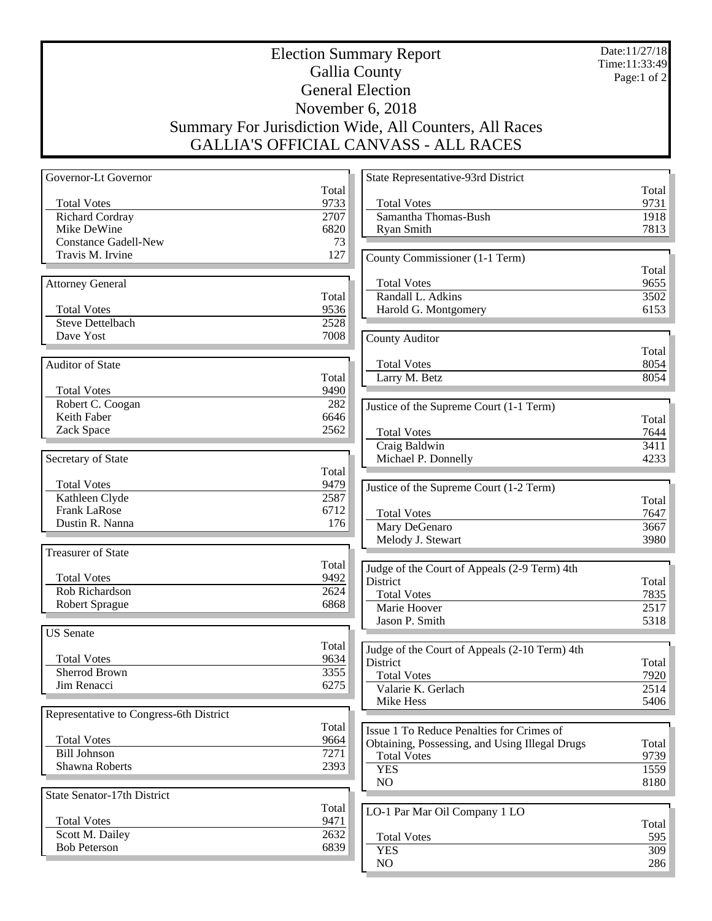Date:11/27/18 Time:11:33:49 Page:1 of 2

## Election Summary Report Gallia County General Election November 6, 2018 Summary For Jurisdiction Wide, All Counters, All Races GALLIA'S OFFICIAL CANVASS - ALL RACES

| Governor-Lt Governor                    |       | State Representative-93rd District             |              |
|-----------------------------------------|-------|------------------------------------------------|--------------|
|                                         | Total |                                                | Total        |
| <b>Total Votes</b>                      | 9733  | <b>Total Votes</b>                             | 9731         |
| <b>Richard Cordray</b>                  | 2707  | Samantha Thomas-Bush                           | 1918         |
| Mike DeWine                             | 6820  | Ryan Smith                                     | 7813         |
| <b>Constance Gadell-New</b>             | 73    |                                                |              |
| Travis M. Irvine                        | 127   | County Commissioner (1-1 Term)                 |              |
|                                         |       |                                                | Total        |
| <b>Attorney General</b>                 |       | <b>Total Votes</b>                             | 9655         |
|                                         | Total | Randall L. Adkins                              | 3502         |
| <b>Total Votes</b>                      | 9536  | Harold G. Montgomery                           | 6153         |
| <b>Steve Dettelbach</b>                 | 2528  |                                                |              |
| Dave Yost                               | 7008  | <b>County Auditor</b>                          |              |
|                                         |       |                                                | Total        |
| Auditor of State                        |       | <b>Total Votes</b>                             | 8054         |
|                                         | Total | Larry M. Betz                                  | 8054         |
| <b>Total Votes</b>                      | 9490  |                                                |              |
| Robert C. Coogan                        | 282   | Justice of the Supreme Court (1-1 Term)        |              |
| Keith Faber                             | 6646  |                                                | Total        |
| Zack Space                              | 2562  | <b>Total Votes</b>                             | 7644         |
|                                         |       | Craig Baldwin                                  | 3411         |
| Secretary of State                      |       | Michael P. Donnelly                            | 4233         |
|                                         | Total |                                                |              |
| <b>Total Votes</b>                      | 9479  | Justice of the Supreme Court (1-2 Term)        |              |
| Kathleen Clyde                          | 2587  |                                                | Total        |
| <b>Frank LaRose</b>                     | 6712  | <b>Total Votes</b>                             | 7647         |
| Dustin R. Nanna                         | 176   | Mary DeGenaro                                  | 3667         |
|                                         |       | Melody J. Stewart                              | 3980         |
| <b>Treasurer of State</b>               |       |                                                |              |
|                                         | Total | Judge of the Court of Appeals (2-9 Term) 4th   |              |
| <b>Total Votes</b>                      | 9492  | District                                       | Total        |
| Rob Richardson                          | 2624  | <b>Total Votes</b>                             | 7835         |
| <b>Robert Sprague</b>                   | 6868  | Marie Hoover                                   | 2517         |
|                                         |       | Jason P. Smith                                 | 5318         |
| <b>US</b> Senate                        |       |                                                |              |
|                                         | Total | Judge of the Court of Appeals (2-10 Term) 4th  |              |
| <b>Total Votes</b>                      | 9634  | District                                       | Total        |
| <b>Sherrod Brown</b>                    | 3355  | <b>Total Votes</b>                             | 7920         |
| Jim Renacci                             | 6275  | Valarie K. Gerlach                             | 2514         |
|                                         |       | Mike Hess                                      | 5406         |
| Representative to Congress-6th District |       |                                                |              |
|                                         | Total | Issue 1 To Reduce Penalties for Crimes of      |              |
| <b>Total Votes</b>                      | 9664  |                                                |              |
| <b>Bill Johnson</b>                     | 7271  | Obtaining, Possessing, and Using Illegal Drugs | Total        |
| Shawna Roberts                          | 2393  | <b>Total Votes</b>                             | 9739<br>1559 |
|                                         |       | <b>YES</b><br>NO                               |              |
| State Senator-17th District             |       |                                                | 8180         |
|                                         | Total |                                                |              |
| <b>Total Votes</b>                      | 9471  | LO-1 Par Mar Oil Company 1 LO                  |              |
| Scott M. Dailey                         | 2632  |                                                | Total        |
| <b>Bob Peterson</b>                     | 6839  | <b>Total Votes</b>                             | 595          |
|                                         |       | <b>YES</b>                                     | 309          |
|                                         |       | NO.                                            | 286          |